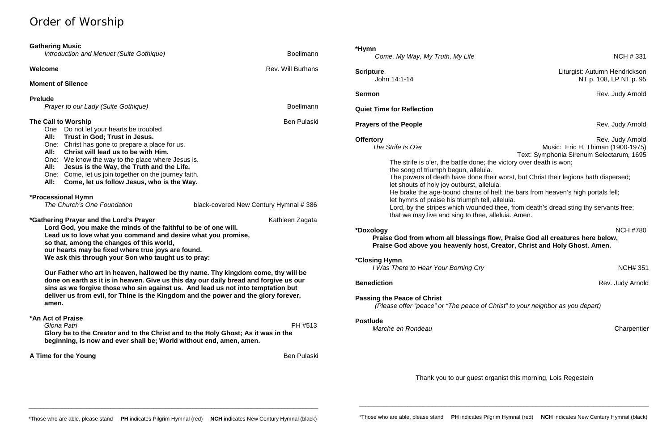# Order of Worship

| <b>Gathering Music</b><br>Introduction and Menuet (Suite Gothique)                                                                                                                                                                                                                                                                                                                                                                                                                                                                                                                                                                                                                                                         | <b>Boellmann</b>                      | *Hymn<br>Come, My Way, My Truth, My Life                                                                                                                                                                                                                                                                                                                                                              | <b>NCH #331</b>                                                                                                                                                          |
|----------------------------------------------------------------------------------------------------------------------------------------------------------------------------------------------------------------------------------------------------------------------------------------------------------------------------------------------------------------------------------------------------------------------------------------------------------------------------------------------------------------------------------------------------------------------------------------------------------------------------------------------------------------------------------------------------------------------------|---------------------------------------|-------------------------------------------------------------------------------------------------------------------------------------------------------------------------------------------------------------------------------------------------------------------------------------------------------------------------------------------------------------------------------------------------------|--------------------------------------------------------------------------------------------------------------------------------------------------------------------------|
| Welcome<br><b>Moment of Silence</b>                                                                                                                                                                                                                                                                                                                                                                                                                                                                                                                                                                                                                                                                                        | <b>Rev. Will Burhans</b>              | <b>Scripture</b><br>John 14:1-14                                                                                                                                                                                                                                                                                                                                                                      | Liturgist: Autumn Hendrickson<br>NT p. 108, LP NT p. 95                                                                                                                  |
| <b>Prelude</b>                                                                                                                                                                                                                                                                                                                                                                                                                                                                                                                                                                                                                                                                                                             |                                       | <b>Sermon</b>                                                                                                                                                                                                                                                                                                                                                                                         | Rev. Judy Arnold                                                                                                                                                         |
| Prayer to our Lady (Suite Gothique)                                                                                                                                                                                                                                                                                                                                                                                                                                                                                                                                                                                                                                                                                        | <b>Boellmann</b>                      | <b>Quiet Time for Reflection</b>                                                                                                                                                                                                                                                                                                                                                                      |                                                                                                                                                                          |
| The Call to Worship<br><b>Ben Pulaski</b><br>Do not let your hearts be troubled<br>One<br>All:<br>Trust in God; Trust in Jesus.<br>Christ has gone to prepare a place for us.<br>One:<br>Christ will lead us to be with Him.<br>All:<br>We know the way to the place where Jesus is.<br>One:<br>Jesus is the Way, the Truth and the Life.<br>All:<br>Come, let us join together on the journey faith.<br>One:<br>All:<br>Come, let us follow Jesus, who is the Way.                                                                                                                                                                                                                                                        |                                       | <b>Prayers of the People</b><br>Rev. Judy Arnold<br>Rev. Judy Arnold<br><b>Offertory</b><br>The Strife Is O'er<br>Music: Eric H. Thiman (1900-1975)<br>Text: Symphonia Sirenum Selectarum, 1695<br>The strife is o'er, the battle done; the victory over death is won;<br>the song of triumph begun, alleluia.<br>The powers of death have done their worst, but Christ their legions hath dispersed; |                                                                                                                                                                          |
| *Processional Hymn<br>The Church's One Foundation                                                                                                                                                                                                                                                                                                                                                                                                                                                                                                                                                                                                                                                                          | black-covered New Century Hymnal #386 | let shouts of holy joy outburst, alleluia.<br>let hymns of praise his triumph tell, alleluia.<br>that we may live and sing to thee, alleluia. Amen.                                                                                                                                                                                                                                                   | He brake the age-bound chains of hell; the bars from heaven's high portals fell;<br>Lord, by the stripes which wounded thee, from death's dread sting thy servants free; |
| *Gathering Prayer and the Lord's Prayer<br>Kathleen Zagata<br>Lord God, you make the minds of the faithful to be of one will.<br>Lead us to love what you command and desire what you promise,<br>so that, among the changes of this world,<br>our hearts may be fixed where true joys are found.<br>We ask this through your Son who taught us to pray:<br>Our Father who art in heaven, hallowed be thy name. Thy kingdom come, thy will be<br>done on earth as it is in heaven. Give us this day our daily bread and forgive us our<br>sins as we forgive those who sin against us. And lead us not into temptation but<br>deliver us from evil, for Thine is the Kingdom and the power and the glory forever,<br>amen. |                                       | *Doxology<br>Praise God from whom all blessings flow, Praise God all creatures here below,<br>Praise God above you heavenly host, Creator, Christ and Holy Ghost. Amen.<br><i><b>*Closing Hymn</b></i>                                                                                                                                                                                                | <b>NCH #780</b>                                                                                                                                                          |
|                                                                                                                                                                                                                                                                                                                                                                                                                                                                                                                                                                                                                                                                                                                            |                                       | I Was There to Hear Your Borning Cry<br><b>Benediction</b><br><b>Passing the Peace of Christ</b><br>(Please offer "peace" or "The peace of Christ" to your neighbor as you depart)                                                                                                                                                                                                                    | <b>NCH#35</b><br>Rev. Judy Arnold                                                                                                                                        |
| *An Act of Praise<br>Gloria Patri<br>Glory be to the Creator and to the Christ and to the Holy Ghost; As it was in the<br>beginning, is now and ever shall be; World without end, amen, amen.                                                                                                                                                                                                                                                                                                                                                                                                                                                                                                                              | PH #513                               | <b>Postlude</b><br>Marche en Rondeau                                                                                                                                                                                                                                                                                                                                                                  | Charpentie                                                                                                                                                               |
| A Time for the Young                                                                                                                                                                                                                                                                                                                                                                                                                                                                                                                                                                                                                                                                                                       | <b>Ben Pulaski</b>                    |                                                                                                                                                                                                                                                                                                                                                                                                       |                                                                                                                                                                          |
|                                                                                                                                                                                                                                                                                                                                                                                                                                                                                                                                                                                                                                                                                                                            |                                       |                                                                                                                                                                                                                                                                                                                                                                                                       | Thank you to our quest erganist this merning Lois Pegestain                                                                                                              |

*I Was There to Hear Your Borning Cry* NCH# 351

**Rev. Judy Arnold** 

*Marche en Rondeau* Charpentier

Thank you to our guest organist this morning, Lois Regestein

\_\_\_\_\_\_\_\_\_\_\_\_\_\_\_\_\_\_\_\_\_\_\_\_\_\_\_\_\_\_\_\_\_\_\_\_\_\_\_\_\_\_\_\_\_\_\_\_\_\_\_\_\_\_\_\_\_\_\_\_\_\_\_\_\_\_\_\_\_\_\_\_\_\_\_\_\_\_\_\_\_\_\_\_\_\_\_\_\_\_\_\_\_\_\_

\_\_\_\_\_\_\_\_\_\_\_\_\_\_\_\_\_\_\_\_\_\_\_\_\_\_\_\_\_\_\_\_\_\_\_\_\_\_\_\_\_\_\_\_\_\_\_\_\_\_\_\_\_\_\_\_\_\_\_\_\_\_\_\_\_\_\_\_\_\_\_\_\_\_\_\_\_\_\_\_\_\_\_\_\_\_\_\_\_\_\_\_\_\_\_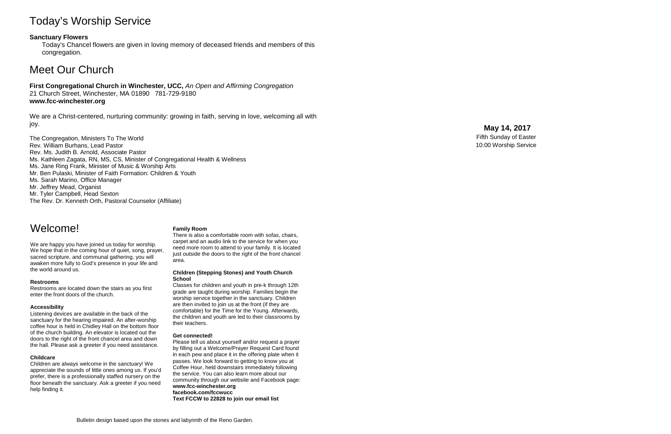# Today's Worship Service

## **Sanctuary Flowers**

Today's Chancel flowers are given in loving memory of deceased friends and members of this congregation.

# Meet Our Church

## **First Congregational Church in Winchester, UCC,** *An Open and Affirming Congregation* 21 Church Street, Winchester, MA 01890 781 -729 -9180 **www.fcc -winchester.org**

We are a Christ -centered, nurturing community: growing in faith, serving in love, welcoming all with joy.

The Congregation, Ministers To The World Rev. William Burhans, Lead Pastor Rev. Ms. Judith B. Arnold, Associate Pastor Ms. Kathleen Zagata, RN, MS, CS, Minister of Congregational Health & Wellness Ms. Jane Ring Frank, Minister of Music & Worship Arts Mr. Ben Pulaski, Minister of Faith Formation: Children & Youth Ms. Sarah Marino, Office Manager Mr. Jeffrey Mead, Organist Mr. Tyler Campbell, Head Sexton The Rev. Dr. Kenneth Orth, Pastoral Counselor (Affiliate)

## **May 14 , 2017**

Fifth Sunday of Easter 10:00 Worship Service

# Welcome!

We are happy you have joined us today for worship. We hope that in the coming hour of quiet, song, prayer, sacred scripture, and communal gathering, you will awaken more fully to God's presence in your life and the world around us.

## **Restrooms**

Restrooms are located down the stairs as you first enter the front doors of the church.

## **Accessibility**

Listening devices are available in the back of the sanctuary for the hearing impaired. An after -worship coffee hour is held in Chidley Hall on the bottom floor of the church building. An elevator is located out the doors to the right of the front chancel area and down the hall. Please ask a greeter if you need assistance.

## **Childcare**

Children are always welcome in the sanctuary! We appreciate the sounds of little ones among us. If you'd prefer, there is a professionally staffed nursery on the floor beneath the sanctuary. Ask a greeter if you need help finding it.

## **Family Room**

There is also a comfortable room with sofas, chairs, carpet and an audio link to the service for when you need more room to attend to your family. It is located just outside the doors to the right of the front chancel area.

### **Children (Stepping Stones) and Youth Church School**

Classes for children and youth in pre -k through 12th grade are taught during worship. Families begin the worship service together in the sanctuary. Children are then invited to join us at the front (if they are comfortable) for the Time for the Young. Afterwards, the children and youth are led to their classrooms by their teachers.

## **Get connected!**

Please tell us about yourself and/or request a prayer by filling out a Welcome/Prayer Request Card found in each pew and place it in the offering plate when it passes. We look forward to getting to know you at Coffee Hour, held downstairs immediately following the service. You can also learn more about our community through our website and Facebook page: **www.fcc -winchester.org facebook.com/fccwucc Text FCCW to 22828 to join our email list**